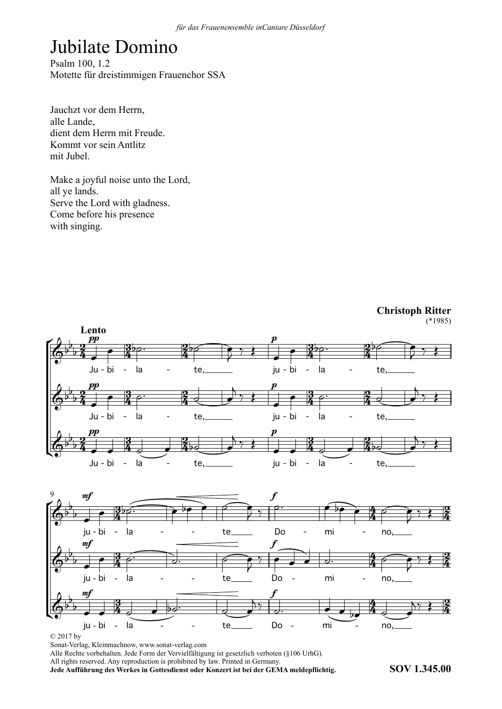## Jubilate Domino

Psalm 100, 1.2 Motette für dreistimmigen Frauenchor SSA

Jauchzt vor dem Herrn, sauchzt vol<br>alle Lande. anc Lande,<br>dient dem Herrn mit Freude. Kommt vor sein Antlitz mit Jubel.

Make a joyful noise unto the Lord, wake a joyi<br>all ye lands. an ye lands.<br>Serve the Lord with gladness. Come before his presence with singing.







© 2017 by

Sonat-Verlag, Kleinmachnow, www.sonat-verlag.com

Alle Rechte vorbehalten. Jede Form der Vervielfältigung ist gesetzlich verboten (§106 UrhG). All rights reserved. Any reproduction is prohibited by law. Printed in Germany.

**Jede Aufführung des Werkes in Gottesdienst oder Konzert ist bei der GEMA meldepflichtig. SOV 1.345.00**